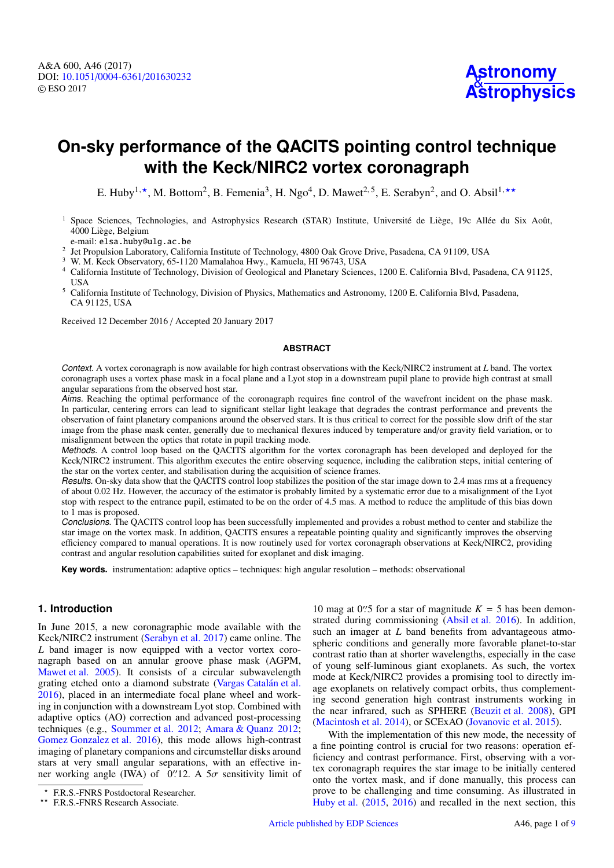# **On-sky performance of the QACITS pointing control technique with the Keck/NIRC2 vortex coronagraph**

E. Huby<sup>1,\*</sup>, M. Bottom<sup>2</sup>, B. Femenia<sup>3</sup>, H. Ngo<sup>4</sup>, D. Mawet<sup>2,5</sup>, E. Serabyn<sup>2</sup>, and O. Absil<sup>1,\*\*</sup>

<sup>1</sup> Space Sciences, Technologies, and Astrophysics Research (STAR) Institute, Université de Liège, 19c Allée du Six Août, 4000 Liège, Belgium

e-mail: elsa.huby@ulg.ac.be

<sup>2</sup> Jet Propulsion Laboratory, California Institute of Technology, 4800 Oak Grove Drive, Pasadena, CA 91109, USA

<sup>3</sup> W. M. Keck Observatory, 65-1120 Mamalahoa Hwy., Kamuela, HI 96743, USA

- <sup>4</sup> California Institute of Technology, Division of Geological and Planetary Sciences, 1200 E. California Blvd, Pasadena, CA 91125, USA
- <sup>5</sup> California Institute of Technology, Division of Physics, Mathematics and Astronomy, 1200 E. California Blvd, Pasadena, CA 91125, USA

Received 12 December 2016 / Accepted 20 January 2017

## **ABSTRACT**

Context. A vortex coronagraph is now available for high contrast observations with the Keck/NIRC2 instrument at *L* band. The vortex coronagraph uses a vortex phase mask in a focal plane and a Lyot stop in a downstream pupil plane to provide high contrast at small angular separations from the observed host star.

Aims. Reaching the optimal performance of the coronagraph requires fine control of the wavefront incident on the phase mask. In particular, centering errors can lead to significant stellar light leakage that degrades the contrast performance and prevents the observation of faint planetary companions around the observed stars. It is thus critical to correct for the possible slow drift of the star image from the phase mask center, generally due to mechanical flexures induced by temperature and/or gravity field variation, or to misalignment between the optics that rotate in pupil tracking mode.

Methods. A control loop based on the QACITS algorithm for the vortex coronagraph has been developed and deployed for the Keck/NIRC2 instrument. This algorithm executes the entire observing sequence, including the calibration steps, initial centering of the star on the vortex center, and stabilisation during the acquisition of science frames.

Results. On-sky data show that the QACITS control loop stabilizes the position of the star image down to 2.4 mas rms at a frequency of about 0.02 Hz. However, the accuracy of the estimator is probably limited by a systematic error due to a misalignment of the Lyot stop with respect to the entrance pupil, estimated to be on the order of 4.5 mas. A method to reduce the amplitude of this bias down to 1 mas is proposed.

Conclusions. The QACITS control loop has been successfully implemented and provides a robust method to center and stabilize the star image on the vortex mask. In addition, QACITS ensures a repeatable pointing quality and significantly improves the observing efficiency compared to manual operations. It is now routinely used for vortex coronagraph observations at Keck/NIRC2, providing contrast and angular resolution capabilities suited for exoplanet and disk imaging.

**Key words.** instrumentation: adaptive optics – techniques: high angular resolution – methods: observational

# **1. Introduction**

In June 2015, a new coronagraphic mode available with the Keck/NIRC2 instrument [\(Serabyn et al.](#page-8-0) [2017\)](#page-8-0) came online. The *L* band imager is now equipped with a vector vortex coronagraph based on an annular groove phase mask (AGPM, [Mawet et al.](#page-8-1) [2005\)](#page-8-1). It consists of a circular subwavelength grating etched onto a diamond substrate [\(Vargas Catalán et al.](#page-8-2) [2016\)](#page-8-2), placed in an intermediate focal plane wheel and working in conjunction with a downstream Lyot stop. Combined with adaptive optics (AO) correction and advanced post-processing techniques (e.g., [Soummer et al.](#page-8-3) [2012;](#page-8-3) [Amara & Quanz](#page-8-4) [2012;](#page-8-4) [Gomez Gonzalez et al.](#page-8-5) [2016\)](#page-8-5), this mode allows high-contrast imaging of planetary companions and circumstellar disks around stars at very small angular separations, with an effective inner working angle (IWA) of  $\overline{0}$ . A  $5\sigma$  sensitivity limit of

10 mag at 0''.5 for a star of magnitude  $K = 5$  has been demon-<br>strated during commissioning (Absil et al. 2016). In addition strated during commissioning [\(Absil et al.](#page-8-6) [2016\)](#page-8-6). In addition, such an imager at *L* band benefits from advantageous atmospheric conditions and generally more favorable planet-to-star contrast ratio than at shorter wavelengths, especially in the case of young self-luminous giant exoplanets. As such, the vortex mode at Keck/NIRC2 provides a promising tool to directly image exoplanets on relatively compact orbits, thus complementing second generation high contrast instruments working in the near infrared, such as SPHERE [\(Beuzit et al.](#page-8-7) [2008\)](#page-8-7), GPI [\(Macintosh et al.](#page-8-8) [2014\)](#page-8-8), or SCExAO [\(Jovanovic et al.](#page-8-9) [2015\)](#page-8-9).

With the implementation of this new mode, the necessity of a fine pointing control is crucial for two reasons: operation efficiency and contrast performance. First, observing with a vortex coronagraph requires the star image to be initially centered onto the vortex mask, and if done manually, this process can prove to be challenging and time consuming. As illustrated in [Huby et al.](#page-8-10) [\(2015,](#page-8-10) [2016\)](#page-8-11) and recalled in the next section, this

<sup>?</sup> F.R.S.-FNRS Postdoctoral Researcher.

<sup>\*\*</sup> F.R.S.-FNRS Research Associate.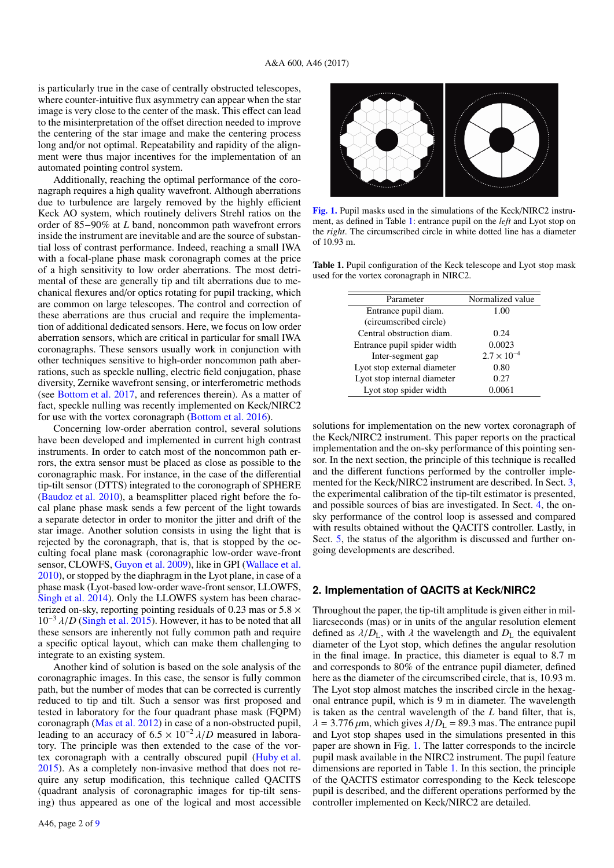is particularly true in the case of centrally obstructed telescopes, where counter-intuitive flux asymmetry can appear when the star image is very close to the center of the mask. This effect can lead to the misinterpretation of the offset direction needed to improve the centering of the star image and make the centering process long and/or not optimal. Repeatability and rapidity of the alignment were thus major incentives for the implementation of an automated pointing control system.

Additionally, reaching the optimal performance of the coronagraph requires a high quality wavefront. Although aberrations due to turbulence are largely removed by the highly efficient Keck AO system, which routinely delivers Strehl ratios on the order of 85−90% at *L* band, noncommon path wavefront errors inside the instrument are inevitable and are the source of substantial loss of contrast performance. Indeed, reaching a small IWA with a focal-plane phase mask coronagraph comes at the price of a high sensitivity to low order aberrations. The most detrimental of these are generally tip and tilt aberrations due to mechanical flexures and/or optics rotating for pupil tracking, which are common on large telescopes. The control and correction of these aberrations are thus crucial and require the implementation of additional dedicated sensors. Here, we focus on low order aberration sensors, which are critical in particular for small IWA coronagraphs. These sensors usually work in conjunction with other techniques sensitive to high-order noncommon path aberrations, such as speckle nulling, electric field conjugation, phase diversity, Zernike wavefront sensing, or interferometric methods (see [Bottom et al.](#page-8-13) [2017,](#page-8-13) and references therein). As a matter of fact, speckle nulling was recently implemented on Keck/NIRC2 for use with the vortex coronagraph [\(Bottom et al.](#page-8-14) [2016\)](#page-8-14).

Concerning low-order aberration control, several solutions have been developed and implemented in current high contrast instruments. In order to catch most of the noncommon path errors, the extra sensor must be placed as close as possible to the coronagraphic mask. For instance, in the case of the differential tip-tilt sensor (DTTS) integrated to the coronograph of SPHERE [\(Baudoz et al.](#page-8-15) [2010\)](#page-8-15), a beamsplitter placed right before the focal plane phase mask sends a few percent of the light towards a separate detector in order to monitor the jitter and drift of the star image. Another solution consists in using the light that is rejected by the coronagraph, that is, that is stopped by the occulting focal plane mask (coronagraphic low-order wave-front sensor, CLOWFS, [Guyon et al.](#page-8-16) [2009\)](#page-8-16), like in GPI [\(Wallace et al.](#page-8-17) [2010\)](#page-8-17), or stopped by the diaphragm in the Lyot plane, in case of a phase mask (Lyot-based low-order wave-front sensor, LLOWFS, [Singh et al.](#page-8-18) [2014\)](#page-8-18). Only the LLOWFS system has been characterized on-sky, reporting pointing residuals of 0.23 mas or  $5.8 \times$  $10^{-3}$   $\lambda/D$  [\(Singh et al.](#page-8-19) [2015\)](#page-8-19). However, it has to be noted that all these sensors are inherently not fully common path and require a specific optical layout, which can make them challenging to integrate to an existing system.

Another kind of solution is based on the sole analysis of the coronagraphic images. In this case, the sensor is fully common path, but the number of modes that can be corrected is currently reduced to tip and tilt. Such a sensor was first proposed and tested in laboratory for the four quadrant phase mask (FQPM) coronagraph [\(Mas et al.](#page-8-20) [2012\)](#page-8-20) in case of a non-obstructed pupil, leading to an accuracy of  $6.5 \times 10^{-2} \lambda/D$  measured in laboratory. The principle was then extended to the case of the vortex coronagraph with a centrally obscured pupil [\(Huby et al.](#page-8-10) [2015\)](#page-8-10). As a completely non-invasive method that does not require any setup modification, this technique called QACITS (quadrant analysis of coronagraphic images for tip-tilt sensing) thus appeared as one of the logical and most accessible



<span id="page-1-1"></span>[Fig. 1.](http://dexter.edpsciences.org/applet.php?DOI=10.1051/0004-6361/201630232&pdf_id=1) Pupil masks used in the simulations of the Keck/NIRC2 instrument, as defined in Table [1:](#page-1-0) entrance pupil on the *left* and Lyot stop on the *right*. The circumscribed circle in white dotted line has a diameter of 10.93 m.

<span id="page-1-0"></span>Table 1. Pupil configuration of the Keck telescope and Lyot stop mask used for the vortex coronagraph in NIRC2.

| Parameter                   | Normalized value     |  |  |  |
|-----------------------------|----------------------|--|--|--|
| Entrance pupil diam.        | 1.00                 |  |  |  |
| (circumscribed circle)      |                      |  |  |  |
| Central obstruction diam.   | 0.24                 |  |  |  |
| Entrance pupil spider width | 0.0023               |  |  |  |
| Inter-segment gap           | $2.7 \times 10^{-4}$ |  |  |  |
| Lyot stop external diameter | 0.80                 |  |  |  |
| Lyot stop internal diameter | 0.27                 |  |  |  |
| Lyot stop spider width      | 0.0061               |  |  |  |

solutions for implementation on the new vortex coronagraph of the Keck/NIRC2 instrument. This paper reports on the practical implementation and the on-sky performance of this pointing sensor. In the next section, the principle of this technique is recalled and the different functions performed by the controller implemented for the Keck/NIRC2 instrument are described. In Sect. [3,](#page-3-0) the experimental calibration of the tip-tilt estimator is presented, and possible sources of bias are investigated. In Sect. [4,](#page-6-0) the onsky performance of the control loop is assessed and compared with results obtained without the QACITS controller. Lastly, in Sect. [5,](#page-7-0) the status of the algorithm is discussed and further ongoing developments are described.

#### <span id="page-1-2"></span>**2. Implementation of QACITS at Keck/NIRC2**

Throughout the paper, the tip-tilt amplitude is given either in milliarcseconds (mas) or in units of the angular resolution element defined as  $\lambda/D_L$ , with  $\lambda$  the wavelength and  $D_L$  the equivalent diameter of the Lyot stop, which defines the angular resolution in the final image. In practice, this diameter is equal to 8.7 m and corresponds to 80% of the entrance pupil diameter, defined here as the diameter of the circumscribed circle, that is, 10.93 m. The Lyot stop almost matches the inscribed circle in the hexagonal entrance pupil, which is 9 m in diameter. The wavelength is taken as the central wavelength of the *L* band filter, that is,  $\lambda = 3.776 \,\mu$ m, which gives  $\lambda/D_L = 89.3$  mas. The entrance pupil and Lyot stop shapes used in the simulations presented in this paper are shown in Fig. [1.](#page-1-1) The latter corresponds to the incircle pupil mask available in the NIRC2 instrument. The pupil feature dimensions are reported in Table [1.](#page-1-0) In this section, the principle of the QACITS estimator corresponding to the Keck telescope pupil is described, and the different operations performed by the controller implemented on Keck/NIRC2 are detailed.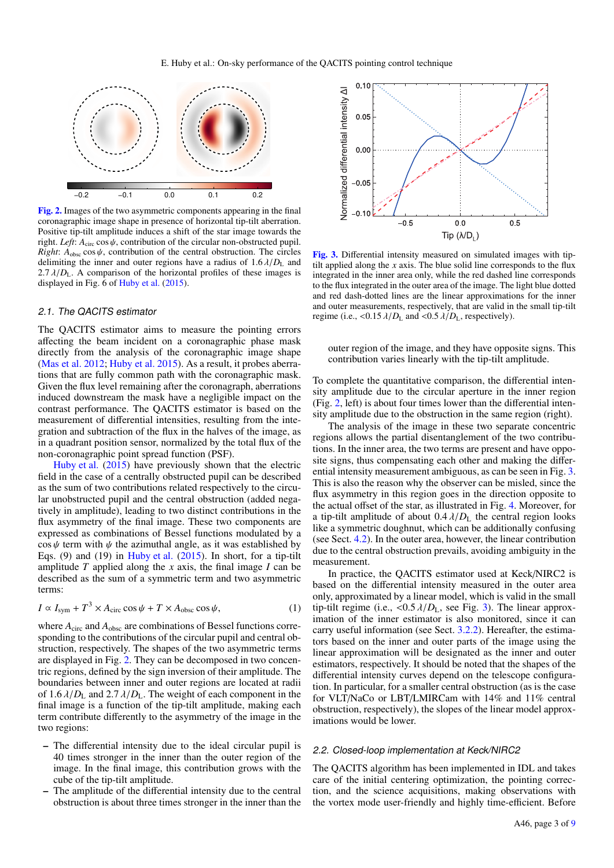

<span id="page-2-0"></span>[Fig. 2.](http://dexter.edpsciences.org/applet.php?DOI=10.1051/0004-6361/201630232&pdf_id=2) Images of the two asymmetric components appearing in the final coronagraphic image shape in presence of horizontal tip-tilt aberration. Positive tip-tilt amplitude induces a shift of the star image towards the right. *Left*:  $A_{\text{circ}} \cos \psi$ , contribution of the circular non-obstructed pupil. *Right*:  $A_{\text{obsc}} \cos \psi$ , contribution of the central obstruction. The circles delimiting the inner and outer regions have a radius of  $1.6 \lambda/D<sub>L</sub>$  and 2.7  $\lambda/D_L$ . A comparison of the horizontal profiles of these images is displayed in Fig. 6 of [Huby et al.](#page-8-10) [\(2015\)](#page-8-10).

#### 2.1. The QACITS estimator

The QACITS estimator aims to measure the pointing errors affecting the beam incident on a coronagraphic phase mask directly from the analysis of the coronagraphic image shape [\(Mas et al.](#page-8-20) [2012;](#page-8-20) [Huby et al.](#page-8-10) [2015\)](#page-8-10). As a result, it probes aberrations that are fully common path with the coronagraphic mask. Given the flux level remaining after the coronagraph, aberrations induced downstream the mask have a negligible impact on the contrast performance. The QACITS estimator is based on the measurement of differential intensities, resulting from the integration and subtraction of the flux in the halves of the image, as in a quadrant position sensor, normalized by the total flux of the non-coronagraphic point spread function (PSF).

[Huby et al.](#page-8-10) [\(2015\)](#page-8-10) have previously shown that the electric field in the case of a centrally obstructed pupil can be described as the sum of two contributions related respectively to the circular unobstructed pupil and the central obstruction (added negatively in amplitude), leading to two distinct contributions in the flux asymmetry of the final image. These two components are expressed as combinations of Bessel functions modulated by a  $\cos \psi$  term with  $\psi$  the azimuthal angle, as it was established by Eqs. (9) and (19) in [Huby et al.](#page-8-10) [\(2015\)](#page-8-10). In short, for a tip-tilt amplitude *T* applied along the *x* axis, the final image *I* can be described as the sum of a symmetric term and two asymmetric terms:

$$
I \propto I_{\text{sym}} + T^3 \times A_{\text{circ}} \cos \psi + T \times A_{\text{obsc}} \cos \psi, \tag{1}
$$

where  $A_{\text{circ}}$  and  $A_{\text{obsc}}$  are combinations of Bessel functions corresponding to the contributions of the circular pupil and central obstruction, respectively. The shapes of the two asymmetric terms are displayed in Fig. [2.](#page-2-0) They can be decomposed in two concentric regions, defined by the sign inversion of their amplitude. The boundaries between inner and outer regions are located at radii of  $1.6 \lambda/D_L$  and  $2.7 \lambda/D_L$ . The weight of each component in the final image is a function of the tip-tilt amplitude, making each term contribute differently to the asymmetry of the image in the two regions:

- The differential intensity due to the ideal circular pupil is 40 times stronger in the inner than the outer region of the image. In the final image, this contribution grows with the cube of the tip-tilt amplitude.
- The amplitude of the differential intensity due to the central obstruction is about three times stronger in the inner than the



<span id="page-2-1"></span>[Fig. 3.](http://dexter.edpsciences.org/applet.php?DOI=10.1051/0004-6361/201630232&pdf_id=3) Differential intensity measured on simulated images with tiptilt applied along the  $x$  axis. The blue solid line corresponds to the flux integrated in the inner area only, while the red dashed line corresponds to the flux integrated in the outer area of the image. The light blue dotted and red dash-dotted lines are the linear approximations for the inner and outer measurements, respectively, that are valid in the small tip-tilt regime (i.e.,  $\langle 0.15 \lambda/D_{\rm L}$  and  $\langle 0.5 \lambda/D_{\rm L}$ , respectively).

outer region of the image, and they have opposite signs. This contribution varies linearly with the tip-tilt amplitude.

To complete the quantitative comparison, the differential intensity amplitude due to the circular aperture in the inner region (Fig. [2,](#page-2-0) left) is about four times lower than the differential intensity amplitude due to the obstruction in the same region (right).

The analysis of the image in these two separate concentric regions allows the partial disentanglement of the two contributions. In the inner area, the two terms are present and have opposite signs, thus compensating each other and making the differential intensity measurement ambiguous, as can be seen in Fig. [3.](#page-2-1) This is also the reason why the observer can be misled, since the flux asymmetry in this region goes in the direction opposite to the actual offset of the star, as illustrated in Fig. [4.](#page-3-1) Moreover, for a tip-tilt amplitude of about  $0.4 \lambda/D<sub>L</sub>$  the central region looks like a symmetric doughnut, which can be additionally confusing (see Sect. [4.2\)](#page-7-1). In the outer area, however, the linear contribution due to the central obstruction prevails, avoiding ambiguity in the measurement.

In practice, the QACITS estimator used at Keck/NIRC2 is based on the differential intensity measured in the outer area only, approximated by a linear model, which is valid in the small tip-tilt regime (i.e.,  $\langle 0.5 \lambda/D_L$ , see Fig. [3\)](#page-2-1). The linear approximation of the inner estimator is also monitored, since it can carry useful information (see Sect. [3.2.2\)](#page-5-0). Hereafter, the estimators based on the inner and outer parts of the image using the linear approximation will be designated as the inner and outer estimators, respectively. It should be noted that the shapes of the differential intensity curves depend on the telescope configuration. In particular, for a smaller central obstruction (as is the case for VLT/NaCo or LBT/LMIRCam with 14% and 11% central obstruction, respectively), the slopes of the linear model approximations would be lower.

#### 2.2. Closed-loop implementation at Keck/NIRC2

The QACITS algorithm has been implemented in IDL and takes care of the initial centering optimization, the pointing correction, and the science acquisitions, making observations with the vortex mode user-friendly and highly time-efficient. Before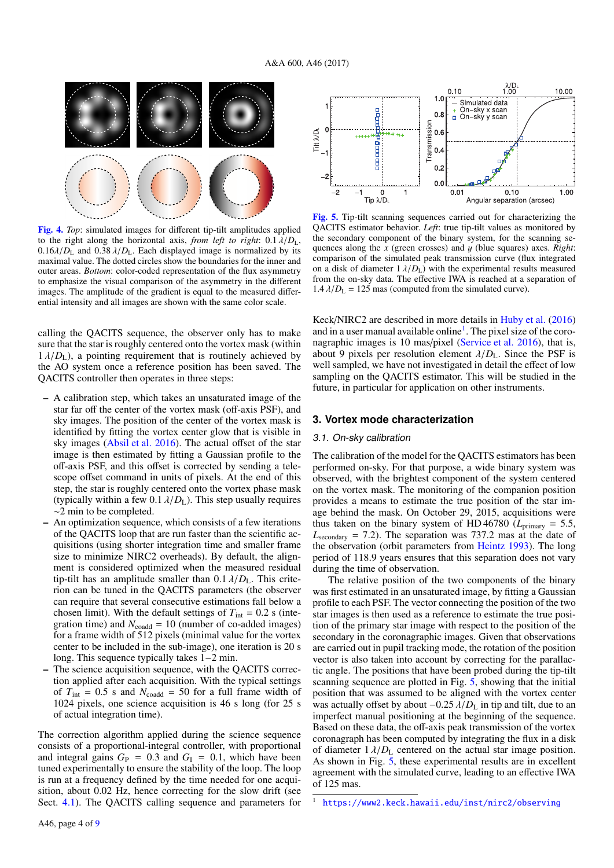

<span id="page-3-1"></span>[Fig. 4.](http://dexter.edpsciences.org/applet.php?DOI=10.1051/0004-6361/201630232&pdf_id=4) *Top*: simulated images for different tip-tilt amplitudes applied to the right along the horizontal axis, *from left to right*:  $0.1 \lambda/D_L$ ,  $0.16\lambda/D_{\rm L}$  and  $0.38\lambda/D_{\rm L}$ . Each displayed image is normalized by its maximal value. The dotted circles show the boundaries for the inner and outer areas. *Bottom*: color-coded representation of the flux asymmetry to emphasize the visual comparison of the asymmetry in the different images. The amplitude of the gradient is equal to the measured differential intensity and all images are shown with the same color scale.

calling the QACITS sequence, the observer only has to make sure that the star is roughly centered onto the vortex mask (within  $1 \lambda/D_L$ ), a pointing requirement that is routinely achieved by the AO system once a reference position has been saved. The QACITS controller then operates in three steps:

- A calibration step, which takes an unsaturated image of the star far off the center of the vortex mask (off-axis PSF), and sky images. The position of the center of the vortex mask is identified by fitting the vortex center glow that is visible in sky images [\(Absil et al.](#page-8-6) [2016\)](#page-8-6). The actual offset of the star image is then estimated by fitting a Gaussian profile to the off-axis PSF, and this offset is corrected by sending a telescope offset command in units of pixels. At the end of this step, the star is roughly centered onto the vortex phase mask (typically within a few  $0.1 \lambda/D<sub>L</sub>$ ). This step usually requires ∼2 min to be completed.
- An optimization sequence, which consists of a few iterations of the QACITS loop that are run faster than the scientific acquisitions (using shorter integration time and smaller frame size to minimize NIRC2 overheads). By default, the alignment is considered optimized when the measured residual tip-tilt has an amplitude smaller than  $0.1 \lambda/D<sub>L</sub>$ . This criterion can be tuned in the QACITS parameters (the observer can require that several consecutive estimations fall below a chosen limit). With the default settings of  $T_{int} = 0.2$  s (integration time) and  $N_{\text{coadd}} = 10$  (number of co-added images) for a frame width of 512 pixels (minimal value for the vortex center to be included in the sub-image), one iteration is 20 s long. This sequence typically takes 1−2 min.
- The science acquisition sequence, with the QACITS correction applied after each acquisition. With the typical settings of  $T_{\text{int}} = 0.5$  s and  $N_{\text{coadd}} = 50$  for a full frame width of 1024 pixels, one science acquisition is 46 s long (for 25 s of actual integration time).

The correction algorithm applied during the science sequence consists of a proportional-integral controller, with proportional and integral gains  $G_P = 0.3$  and  $G_I = 0.1$ , which have been tuned experimentally to ensure the stability of the loop. The loop is run at a frequency defined by the time needed for one acquisition, about 0.02 Hz, hence correcting for the slow drift (see Sect. [4.1\)](#page-6-1). The QACITS calling sequence and parameters for



<span id="page-3-3"></span>[Fig. 5.](http://dexter.edpsciences.org/applet.php?DOI=10.1051/0004-6361/201630232&pdf_id=5) Tip-tilt scanning sequences carried out for characterizing the QACITS estimator behavior. *Left*: true tip-tilt values as monitored by the secondary component of the binary system, for the scanning sequences along the *<sup>x</sup>* (green crosses) and y (blue squares) axes. *Right*: comparison of the simulated peak transmission curve (flux integrated on a disk of diameter  $1 \lambda/D_L$ ) with the experimental results measured from the on-sky data. The effective IWA is reached at a separation of  $1.4 \lambda/D_L = 125$  mas (computed from the simulated curve).

Keck/NIRC2 are described in more details in [Huby et al.](#page-8-11) [\(2016\)](#page-8-11) and in a user manual available online<sup>[1](#page-3-2)</sup>. The pixel size of the coronagraphic images is 10 mas/pixel [\(Service et al.](#page-8-21) [2016\)](#page-8-21), that is, about 9 pixels per resolution element  $\lambda/D_L$ . Since the PSF is well sampled, we have not investigated in detail the effect of low sampling on the QACITS estimator. This will be studied in the future, in particular for application on other instruments.

#### <span id="page-3-0"></span>**3. Vortex mode characterization**

#### 3.1. On-sky calibration

The calibration of the model for the QACITS estimators has been performed on-sky. For that purpose, a wide binary system was observed, with the brightest component of the system centered on the vortex mask. The monitoring of the companion position provides a means to estimate the true position of the star image behind the mask. On October 29, 2015, acquisitions were thus taken on the binary system of HD 46780 ( $L_{\text{primary}} = 5.5$ ,  $L_{\text{secondary}} = 7.2$ ). The separation was 737.2 mas at the date of the observation (orbit parameters from [Heintz](#page-8-22) [1993\)](#page-8-22). The long period of 118.9 years ensures that this separation does not vary during the time of observation.

The relative position of the two components of the binary was first estimated in an unsaturated image, by fitting a Gaussian profile to each PSF. The vector connecting the position of the two star images is then used as a reference to estimate the true position of the primary star image with respect to the position of the secondary in the coronagraphic images. Given that observations are carried out in pupil tracking mode, the rotation of the position vector is also taken into account by correcting for the parallactic angle. The positions that have been probed during the tip-tilt scanning sequence are plotted in Fig. [5,](#page-3-3) showing that the initial position that was assumed to be aligned with the vortex center was actually offset by about  $-0.25 \lambda/D<sub>L</sub>$  in tip and tilt, due to an imperfect manual positioning at the beginning of the sequence. Based on these data, the off-axis peak transmission of the vortex coronagraph has been computed by integrating the flux in a disk of diameter  $1 \lambda/D_{\rm L}$  centered on the actual star image position. As shown in Fig. [5,](#page-3-3) these experimental results are in excellent agreement with the simulated curve, leading to an effective IWA of 125 mas.

<span id="page-3-2"></span><sup>1</sup> <https://www2.keck.hawaii.edu/inst/nirc2/observing>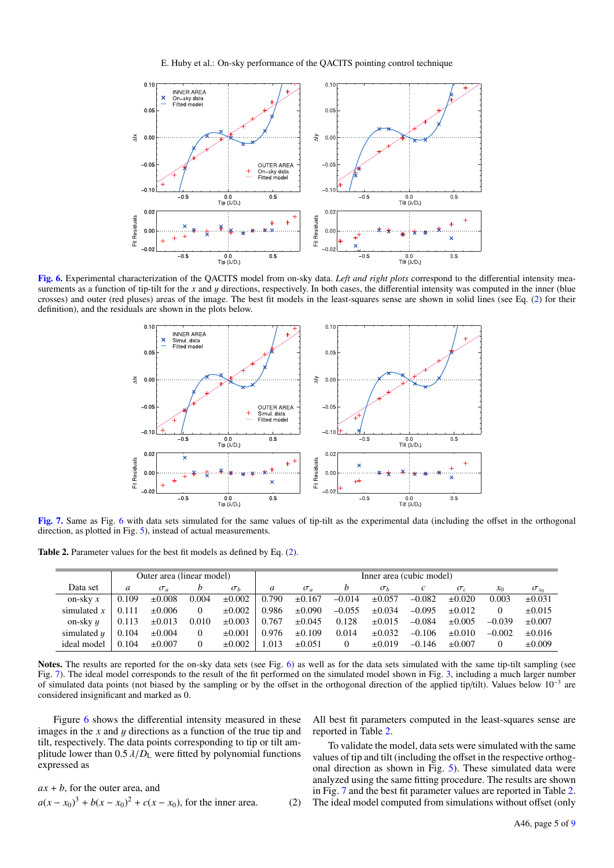E. Huby et al.: On-sky performance of the QACITS pointing control technique



<span id="page-4-1"></span>[Fig. 6.](http://dexter.edpsciences.org/applet.php?DOI=10.1051/0004-6361/201630232&pdf_id=6) Experimental characterization of the QACITS model from on-sky data. *Left and right plots* correspond to the differential intensity measurements as a function of tip-tilt for the *x* and *y* directions, respectively. In both cases, the differential intensity was computed in the inner (blue crosses) and outer (red pluses) areas of the image. The best fit models in the least-squares sense are shown in solid lines (see Eq. [\(2\)](#page-4-0) for their definition), and the residuals are shown in the plots below.



<span id="page-4-2"></span>[Fig. 7.](http://dexter.edpsciences.org/applet.php?DOI=10.1051/0004-6361/201630232&pdf_id=7) Same as Fig. [6](#page-4-1) with data sets simulated for the same values of tip-tilt as the experimental data (including the offset in the orthogonal direction, as plotted in Fig. [5\)](#page-3-3), instead of actual measurements.

Table 2. Parameter values for the best fit models as defined by Eq. [\(2\)](#page-4-0).

<span id="page-4-3"></span>

|                 | Outer area (linear model) |             |          |             | Inner area (cubic model) |             |          |             |          |             |          |                |
|-----------------|---------------------------|-------------|----------|-------------|--------------------------|-------------|----------|-------------|----------|-------------|----------|----------------|
| Data set        | a                         | $\sigma_a$  |          | $\sigma_b$  | a                        | $\sigma_a$  |          | $\sigma_b$  |          | $\sigma_c$  | $x_0$    | $\sigma_{x_0}$ |
| on-skv $x$      | 0.109                     | $\pm 0.008$ | 0.004    | $\pm 0.002$ | 0.790                    | $\pm 0.167$ | $-0.014$ | $\pm 0.057$ | $-0.082$ | $\pm 0.020$ | 0.003    | $\pm 0.031$    |
| simulated $x$   | 0.111                     | $\pm 0.006$ | $\Omega$ | $\pm 0.002$ | 0.986                    | $\pm 0.090$ | $-0.055$ | $\pm 0.034$ | $-0.095$ | $\pm 0.012$ | $\Omega$ | $\pm 0.015$    |
| on-sky $u$      | 0.113                     | $\pm 0.013$ | 0.010    | $\pm 0.003$ | 0.767                    | $\pm 0.045$ | 0.128    | $\pm 0.015$ | $-0.084$ | $\pm 0.005$ | $-0.039$ | $\pm 0.007$    |
| simulated $\mu$ | 0.104                     | $\pm 0.004$ |          | $\pm 0.001$ | 0.976                    | $\pm 0.109$ | 0.014    | $\pm 0.032$ | $-0.106$ | $\pm 0.010$ | $-0.002$ | $\pm 0.016$    |
| ideal model     | 0.104                     | $\pm 0.007$ |          | $\pm 0.002$ | 1.013                    | $\pm 0.051$ |          | $\pm 0.019$ | $-0.146$ | $\pm 0.007$ |          | $\pm 0.009$    |

Notes. The results are reported for the on-sky data sets (see Fig. [6\)](#page-4-1) as well as for the data sets simulated with the same tip-tilt sampling (see Fig. [7\)](#page-4-2). The ideal model corresponds to the result of the fit performed on the simulated model shown in Fig. [3,](#page-2-1) including a much larger number of simulated data points (not biased by the sampling or by the offset in the orthogonal direction of the applied tip/tilt). Values below  $10^{-3}$  are considered insignificant and marked as 0.

Figure [6](#page-4-1) shows the differential intensity measured in these images in the *<sup>x</sup>* and y directions as a function of the true tip and tilt, respectively. The data points corresponding to tip or tilt amplitude lower than  $0.5 \lambda/D<sub>L</sub>$  were fitted by polynomial functions expressed as

<span id="page-4-0"></span>
$$
ax + b
$$
, for the outer area, and  
 $a(x - x_0)^3 + b(x - x_0)^2 + c(x - x_0)$ , for the inner area. (2)

All best fit parameters computed in the least-squares sense are reported in Table [2.](#page-4-3)

To validate the model, data sets were simulated with the same values of tip and tilt (including the offset in the respective orthogonal direction as shown in Fig. [5\)](#page-3-3). These simulated data were analyzed using the same fitting procedure. The results are shown in Fig. [7](#page-4-2) and the best fit parameter values are reported in Table [2.](#page-4-3) The ideal model computed from simulations without offset (only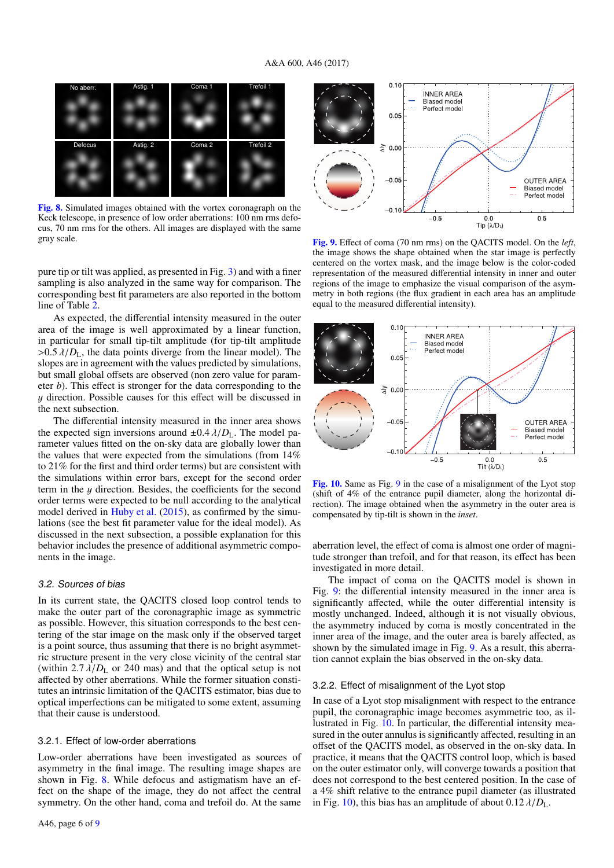

<span id="page-5-1"></span>[Fig. 8.](http://dexter.edpsciences.org/applet.php?DOI=10.1051/0004-6361/201630232&pdf_id=8) Simulated images obtained with the vortex coronagraph on the Keck telescope, in presence of low order aberrations: 100 nm rms defocus, 70 nm rms for the others. All images are displayed with the same gray scale.

pure tip or tilt was applied, as presented in Fig. [3\)](#page-2-1) and with a finer sampling is also analyzed in the same way for comparison. The corresponding best fit parameters are also reported in the bottom line of Table [2.](#page-4-3)

As expected, the differential intensity measured in the outer area of the image is well approximated by a linear function, in particular for small tip-tilt amplitude (for tip-tilt amplitude  $>0.5 \lambda/D_L$ , the data points diverge from the linear model). The slopes are in agreement with the values predicted by simulations, but small global offsets are observed (non zero value for parameter *b*). This effect is stronger for the data corresponding to the y direction. Possible causes for this effect will be discussed in the next subsection.

The differential intensity measured in the inner area shows the expected sign inversions around  $\pm 0.4 \lambda/D_L$ . The model parameter values fitted on the on-sky data are globally lower than the values that were expected from the simulations (from 14% to 21% for the first and third order terms) but are consistent with the simulations within error bars, except for the second order term in the  $y$  direction. Besides, the coefficients for the second order terms were expected to be null according to the analytical model derived in [Huby et al.](#page-8-10) [\(2015\)](#page-8-10), as confirmed by the simulations (see the best fit parameter value for the ideal model). As discussed in the next subsection, a possible explanation for this behavior includes the presence of additional asymmetric components in the image.

#### 3.2. Sources of bias

In its current state, the QACITS closed loop control tends to make the outer part of the coronagraphic image as symmetric as possible. However, this situation corresponds to the best centering of the star image on the mask only if the observed target is a point source, thus assuming that there is no bright asymmetric structure present in the very close vicinity of the central star (within  $2.7 \lambda/D_L$  or 240 mas) and that the optical setup is not affected by other aberrations. While the former situation constitutes an intrinsic limitation of the QACITS estimator, bias due to optical imperfections can be mitigated to some extent, assuming that their cause is understood.

#### 3.2.1. Effect of low-order aberrations

Low-order aberrations have been investigated as sources of asymmetry in the final image. The resulting image shapes are shown in Fig. [8.](#page-5-1) While defocus and astigmatism have an effect on the shape of the image, they do not affect the central symmetry. On the other hand, coma and trefoil do. At the same



<span id="page-5-2"></span>[Fig. 9.](http://dexter.edpsciences.org/applet.php?DOI=10.1051/0004-6361/201630232&pdf_id=9) Effect of coma (70 nm rms) on the QACITS model. On the *left*, the image shows the shape obtained when the star image is perfectly centered on the vortex mask, and the image below is the color-coded representation of the measured differential intensity in inner and outer regions of the image to emphasize the visual comparison of the asymmetry in both regions (the flux gradient in each area has an amplitude equal to the measured differential intensity).



<span id="page-5-3"></span>[Fig. 10.](http://dexter.edpsciences.org/applet.php?DOI=10.1051/0004-6361/201630232&pdf_id=10) Same as Fig. [9](#page-5-2) in the case of a misalignment of the Lyot stop (shift of 4% of the entrance pupil diameter, along the horizontal direction). The image obtained when the asymmetry in the outer area is compensated by tip-tilt is shown in the *inset*.

aberration level, the effect of coma is almost one order of magnitude stronger than trefoil, and for that reason, its effect has been investigated in more detail.

The impact of coma on the QACITS model is shown in Fig. [9:](#page-5-2) the differential intensity measured in the inner area is significantly affected, while the outer differential intensity is mostly unchanged. Indeed, although it is not visually obvious, the asymmetry induced by coma is mostly concentrated in the inner area of the image, and the outer area is barely affected, as shown by the simulated image in Fig. [9.](#page-5-2) As a result, this aberration cannot explain the bias observed in the on-sky data.

#### <span id="page-5-0"></span>3.2.2. Effect of misalignment of the Lyot stop

In case of a Lyot stop misalignment with respect to the entrance pupil, the coronagraphic image becomes asymmetric too, as illustrated in Fig. [10.](#page-5-3) In particular, the differential intensity measured in the outer annulus is significantly affected, resulting in an offset of the QACITS model, as observed in the on-sky data. In practice, it means that the QACITS control loop, which is based on the outer estimator only, will converge towards a position that does not correspond to the best centered position. In the case of a 4% shift relative to the entrance pupil diameter (as illustrated in Fig. [10\)](#page-5-3), this bias has an amplitude of about  $0.12 \lambda/D<sub>L</sub>$ .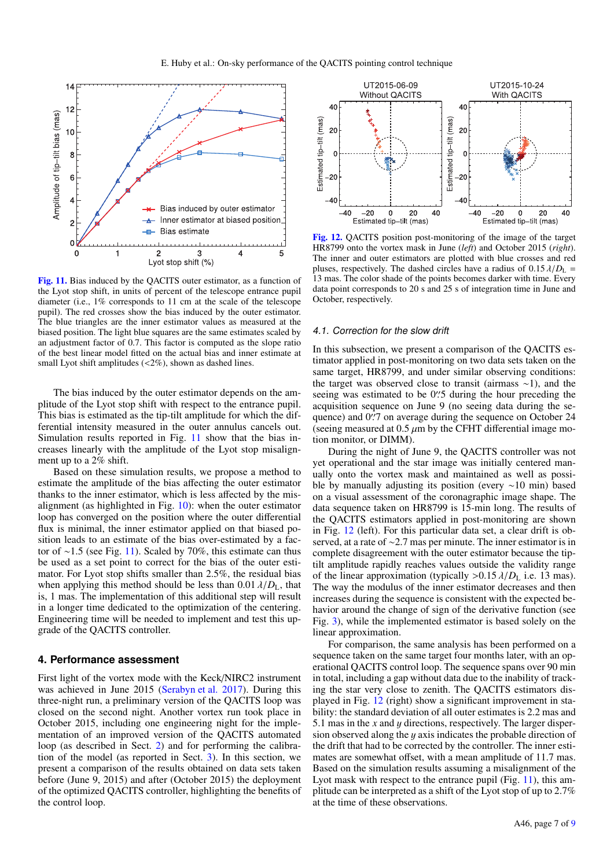

<span id="page-6-2"></span>[Fig. 11.](http://dexter.edpsciences.org/applet.php?DOI=10.1051/0004-6361/201630232&pdf_id=11) Bias induced by the QACITS outer estimator, as a function of the Lyot stop shift, in units of percent of the telescope entrance pupil diameter (i.e., 1% corresponds to 11 cm at the scale of the telescope pupil). The red crosses show the bias induced by the outer estimator. The blue triangles are the inner estimator values as measured at the biased position. The light blue squares are the same estimates scaled by an adjustment factor of 0.7. This factor is computed as the slope ratio of the best linear model fitted on the actual bias and inner estimate at small Lyot shift amplitudes (<2%), shown as dashed lines.

The bias induced by the outer estimator depends on the amplitude of the Lyot stop shift with respect to the entrance pupil. This bias is estimated as the tip-tilt amplitude for which the differential intensity measured in the outer annulus cancels out. Simulation results reported in Fig. [11](#page-6-2) show that the bias increases linearly with the amplitude of the Lyot stop misalignment up to a 2% shift.

Based on these simulation results, we propose a method to estimate the amplitude of the bias affecting the outer estimator thanks to the inner estimator, which is less affected by the misalignment (as highlighted in Fig. [10\)](#page-5-3): when the outer estimator loop has converged on the position where the outer differential flux is minimal, the inner estimator applied on that biased position leads to an estimate of the bias over-estimated by a factor of <sup>∼</sup>1.5 (see Fig. [11\)](#page-6-2). Scaled by 70%, this estimate can thus be used as a set point to correct for the bias of the outer estimator. For Lyot stop shifts smaller than 2.5%, the residual bias when applying this method should be less than  $0.01 \lambda/D<sub>L</sub>$ , that is, 1 mas. The implementation of this additional step will result in a longer time dedicated to the optimization of the centering. Engineering time will be needed to implement and test this upgrade of the QACITS controller.

## <span id="page-6-0"></span>**4. Performance assessment**

First light of the vortex mode with the Keck/NIRC2 instrument was achieved in June 2015 [\(Serabyn et al.](#page-8-0) [2017\)](#page-8-0). During this three-night run, a preliminary version of the QACITS loop was closed on the second night. Another vortex run took place in October 2015, including one engineering night for the implementation of an improved version of the QACITS automated loop (as described in Sect. [2\)](#page-1-2) and for performing the calibration of the model (as reported in Sect. [3\)](#page-3-0). In this section, we present a comparison of the results obtained on data sets taken before (June 9, 2015) and after (October 2015) the deployment of the optimized QACITS controller, highlighting the benefits of the control loop.



<span id="page-6-3"></span>[Fig. 12.](http://dexter.edpsciences.org/applet.php?DOI=10.1051/0004-6361/201630232&pdf_id=12) QACITS position post-monitoring of the image of the target HR8799 onto the vortex mask in June (*left*) and October 2015 (*right*). The inner and outer estimators are plotted with blue crosses and red pluses, respectively. The dashed circles have a radius of  $0.15 \lambda/D_L$  = 13 mas. The color shade of the points becomes darker with time. Every data point corresponds to 20 s and 25 s of integration time in June and October, respectively.

#### <span id="page-6-1"></span>4.1. Correction for the slow drift

In this subsection, we present a comparison of the QACITS estimator applied in post-monitoring on two data sets taken on the same target, HR8799, and under similar observing conditions: the target was observed close to transit (airmass ∼1), and the seeing was estimated to be  $0\rlap{.}^{\prime\prime}$  of during the hour preceding the se-<br>acquisition sequence on June 9 (no seeing data during the seacquisition sequence on June 9 (no seeing data during the sequence) and  $0\rlap{.}^{\prime\prime}$ ? on average during the sequence on October 24 (seeing measured at 0.5  $\mu$ m by the CFHT differential image mo-(seeing measured at  $0.5 \mu m$  by the CFHT differential image motion monitor, or DIMM).

During the night of June 9, the QACITS controller was not yet operational and the star image was initially centered manually onto the vortex mask and maintained as well as possible by manually adjusting its position (every ∼10 min) based on a visual assessment of the coronagraphic image shape. The data sequence taken on HR8799 is 15-min long. The results of the QACITS estimators applied in post-monitoring are shown in Fig. [12](#page-6-3) (left). For this particular data set, a clear drift is observed, at a rate of ∼2.7 mas per minute. The inner estimator is in complete disagreement with the outer estimator because the tiptilt amplitude rapidly reaches values outside the validity range of the linear approximation (typically  $> 0.15 \lambda/D_L$  i.e. 13 mas). The way the modulus of the inner estimator decreases and then increases during the sequence is consistent with the expected behavior around the change of sign of the derivative function (see Fig. [3\)](#page-2-1), while the implemented estimator is based solely on the linear approximation.

For comparison, the same analysis has been performed on a sequence taken on the same target four months later, with an operational QACITS control loop. The sequence spans over 90 min in total, including a gap without data due to the inability of tracking the star very close to zenith. The QACITS estimators displayed in Fig. [12](#page-6-3) (right) show a significant improvement in stability: the standard deviation of all outer estimates is 2.2 mas and 5.1 mas in the *<sup>x</sup>* and y directions, respectively. The larger dispersion observed along the  $y$  axis indicates the probable direction of the drift that had to be corrected by the controller. The inner estimates are somewhat offset, with a mean amplitude of 11.7 mas. Based on the simulation results assuming a misalignment of the Lyot mask with respect to the entrance pupil (Fig. [11\)](#page-6-2), this amplitude can be interpreted as a shift of the Lyot stop of up to 2.7% at the time of these observations.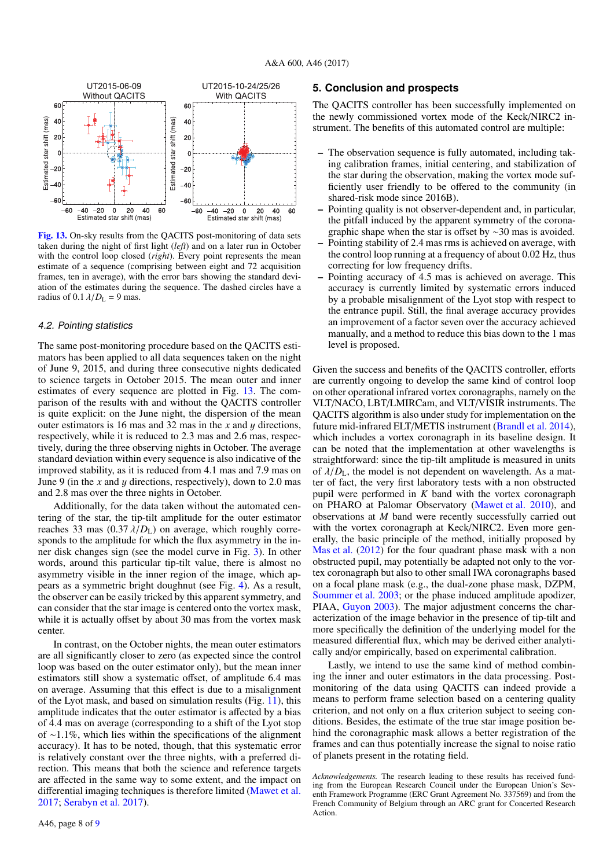

<span id="page-7-2"></span>[Fig. 13.](http://dexter.edpsciences.org/applet.php?DOI=10.1051/0004-6361/201630232&pdf_id=13) On-sky results from the QACITS post-monitoring of data sets taken during the night of first light (*left*) and on a later run in October with the control loop closed (*right*). Every point represents the mean estimate of a sequence (comprising between eight and 72 acquisition frames, ten in average), with the error bars showing the standard deviation of the estimates during the sequence. The dashed circles have a radius of  $0.1 \lambda/D_L = 9$  mas.

#### <span id="page-7-1"></span>4.2. Pointing statistics

The same post-monitoring procedure based on the QACITS estimators has been applied to all data sequences taken on the night of June 9, 2015, and during three consecutive nights dedicated to science targets in October 2015. The mean outer and inner estimates of every sequence are plotted in Fig. [13.](#page-7-2) The comparison of the results with and without the QACITS controller is quite explicit: on the June night, the dispersion of the mean outer estimators is 16 mas and 32 mas in the *<sup>x</sup>* and y directions, respectively, while it is reduced to 2.3 mas and 2.6 mas, respectively, during the three observing nights in October. The average standard deviation within every sequence is also indicative of the improved stability, as it is reduced from 4.1 mas and 7.9 mas on June 9 (in the *<sup>x</sup>* and y directions, respectively), down to 2.0 mas and 2.8 mas over the three nights in October.

Additionally, for the data taken without the automated centering of the star, the tip-tilt amplitude for the outer estimator reaches 33 mas  $(0.37 \lambda/D<sub>L</sub>)$  on average, which roughly corresponds to the amplitude for which the flux asymmetry in the inner disk changes sign (see the model curve in Fig. [3\)](#page-2-1). In other words, around this particular tip-tilt value, there is almost no asymmetry visible in the inner region of the image, which appears as a symmetric bright doughnut (see Fig. [4\)](#page-3-1). As a result, the observer can be easily tricked by this apparent symmetry, and can consider that the star image is centered onto the vortex mask, while it is actually offset by about 30 mas from the vortex mask center.

In contrast, on the October nights, the mean outer estimators are all significantly closer to zero (as expected since the control loop was based on the outer estimator only), but the mean inner estimators still show a systematic offset, of amplitude 6.4 mas on average. Assuming that this effect is due to a misalignment of the Lyot mask, and based on simulation results (Fig. [11\)](#page-6-2), this amplitude indicates that the outer estimator is affected by a bias of 4.4 mas on average (corresponding to a shift of the Lyot stop of ∼1.1%, which lies within the specifications of the alignment accuracy). It has to be noted, though, that this systematic error is relatively constant over the three nights, with a preferred direction. This means that both the science and reference targets are affected in the same way to some extent, and the impact on differential imaging techniques is therefore limited [\(Mawet et al.](#page-8-23) [2017;](#page-8-23) [Serabyn et al.](#page-8-0) [2017\)](#page-8-0).

## <span id="page-7-0"></span>**5. Conclusion and prospects**

The QACITS controller has been successfully implemented on the newly commissioned vortex mode of the Keck/NIRC2 instrument. The benefits of this automated control are multiple:

- The observation sequence is fully automated, including taking calibration frames, initial centering, and stabilization of the star during the observation, making the vortex mode sufficiently user friendly to be offered to the community (in shared-risk mode since 2016B).
- Pointing quality is not observer-dependent and, in particular, the pitfall induced by the apparent symmetry of the coronagraphic shape when the star is offset by ∼30 mas is avoided.
- Pointing stability of 2.4 mas rms is achieved on average, with the control loop running at a frequency of about 0.02 Hz, thus correcting for low frequency drifts.
- Pointing accuracy of 4.5 mas is achieved on average. This accuracy is currently limited by systematic errors induced by a probable misalignment of the Lyot stop with respect to the entrance pupil. Still, the final average accuracy provides an improvement of a factor seven over the accuracy achieved manually, and a method to reduce this bias down to the 1 mas level is proposed.

Given the success and benefits of the QACITS controller, efforts are currently ongoing to develop the same kind of control loop on other operational infrared vortex coronagraphs, namely on the VLT/NACO, LBT/LMIRCam, and VLT/VISIR instruments. The QACITS algorithm is also under study for implementation on the future mid-infrared ELT/METIS instrument [\(Brandl et al.](#page-8-24) [2014\)](#page-8-24), which includes a vortex coronagraph in its baseline design. It can be noted that the implementation at other wavelengths is straightforward: since the tip-tilt amplitude is measured in units of  $\lambda/D_1$ , the model is not dependent on wavelength. As a matter of fact, the very first laboratory tests with a non obstructed pupil were performed in *K* band with the vortex coronagraph on PHARO at Palomar Observatory [\(Mawet et al.](#page-8-25) [2010\)](#page-8-25), and observations at *M* band were recently successfully carried out with the vortex coronagraph at Keck/NIRC2. Even more generally, the basic principle of the method, initially proposed by [Mas et al.](#page-8-20) [\(2012\)](#page-8-20) for the four quadrant phase mask with a non obstructed pupil, may potentially be adapted not only to the vortex coronagraph but also to other small IWA coronagraphs based on a focal plane mask (e.g., the dual-zone phase mask, DZPM, [Soummer et al.](#page-8-26) [2003;](#page-8-26) or the phase induced amplitude apodizer, PIAA, [Guyon](#page-8-27) [2003\)](#page-8-27). The major adjustment concerns the characterization of the image behavior in the presence of tip-tilt and more specifically the definition of the underlying model for the measured differential flux, which may be derived either analytically and/or empirically, based on experimental calibration.

Lastly, we intend to use the same kind of method combining the inner and outer estimators in the data processing. Postmonitoring of the data using QACITS can indeed provide a means to perform frame selection based on a centering quality criterion, and not only on a flux criterion subject to seeing conditions. Besides, the estimate of the true star image position behind the coronagraphic mask allows a better registration of the frames and can thus potentially increase the signal to noise ratio of planets present in the rotating field.

*Acknowledgements.* The research leading to these results has received funding from the European Research Council under the European Union's Seventh Framework Programme (ERC Grant Agreement No. 337569) and from the French Community of Belgium through an ARC grant for Concerted Research Action.